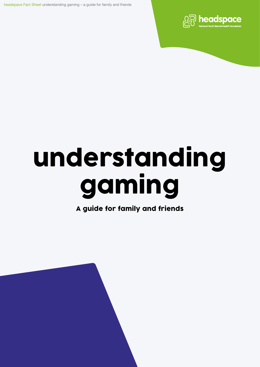headspace Fact Sheet understanding gaming – a guide for family and friends



# understanding gaming

A guide for family and friends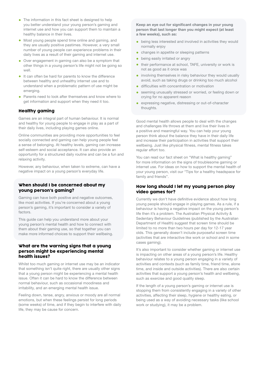- The information in this fact sheet is designed to help you better understand your young person's gaming and internet use and how you can support them to maintain a healthy balance in their lives.
- Most young people spend time online and gaming, and they are usually positive pastimes. However, a very small number of young people can experience problems in their daily lives as a result of their gaming and internet use.
- Over engagement in gaming can also be a symptom that other things in a young person's life might not be going so well.
- It can often be hard for parents to know the difference between healthy and unhealthy internet use and to understand when a problematic pattern of use might be emerging.
- Parents need to look after themselves and know where to get information and support when they need it too.

# Healthy gaming

Games are an integral part of human behaviour. It is normal and healthy for young people to engage in play as a part of their daily lives, including playing games online.

Online communities are providing more opportunities to feel socially connected and gaming can help young people feel a sense of belonging. At healthy levels, gaming can increase self-esteem and social acceptance. It can also provide an opportunity for a structured daily routine and can be a fun and relaxing activity.

However, any behaviour, when taken to extreme, can have a negative impact on a young person's everyday life.

### When should I be concerned about my young person's gaming?

Gaming can have both positive and negative outcomes, like most activities. If you're concerned about a young person's gaming, it's important to consider a variety of factors.

This guide can help you understand more about your young person's mental health and how to connect with them about their gaming use, so that together you can make more informed choices to support their wellbeing.

# What are the warning signs that a young person might be experiencing mental health issues?

Whilst too much gaming or internet use may be an indicator that something isn't quite right, there are usually other signs that a young person might be experiencing a mental health issue. Often it can be hard to know the difference between normal behaviour, such as occasional moodiness and irritability, and an emerging mental health issue.

Feeling down, tense, angry, anxious or moody are all normal emotions, but when these feelings persist for long periods (some weeks) of time, and if they begin to interfere with daily life, they may be cause for concern.

Keep an eye out for significant changes in your young person that last longer than you might expect (at least a few weeks), such as:

- being less interested and involved in activities they would normally enjoy
- changes in appetite or sleeping patterns
- being easily irritated or angry
- their performance at school, TAFE, university or work is not as good as it once was
- involving themselves in risky behaviour they would usually avoid, such as taking drugs or drinking too much alcohol
- difficulties with concentration or motivation
- seeming unusually stressed or worried, or feeling down or crying for no apparent reason
- expressing negative, distressing or out-of-character thoughts.

Good mental health allows people to deal with the changes and challenges life throws at them and live their lives in a positive and meaningful way. You can help your young person think about the balance they have in their daily life and increase their participation in activities that support their wellbeing. Just like physical fitness, mental fitness takes regular effort too.

You can read our fact sheet on "What is healthy gaming" for more information on the signs of troublesome gaming or internet use. For ideas on how to support the mental health of your young person, visit our "Tips for a healthy headspace for family and friends".

# How long should I let my young person play video games for?

Currently we don't have definitive evidence about how long young people should engage in playing games. As a rule, if a behaviour is having a negative impact on the young person's life then it's a problem. The Australian Physical Activity & Sedentary Behaviour Guidelines (published by the Australian Department of Health) suggest that screen time should be limited to no more than two hours per day for 12-17 year olds. This generally doesn't include purposeful screen time (activities that are interactive like work or school and in some cases gaming).

It's also important to consider whether gaming or internet use is impacting on other areas of a young person's life. Healthy behaviour relates to a young person engaging in a variety of activities and contexts (such as family time, friend time, alone time, and inside and outside activities). There are also certain activities that support a young person's health and wellbeing, such as exercise and good quality sleep.

If the length of a young person's gaming or internet use is stopping them from consistently engaging in a variety of other activities, affecting their sleep, hygiene or healthy eating, or being used as a way of avoiding necessary tasks (like school work or studying), it may be a problem.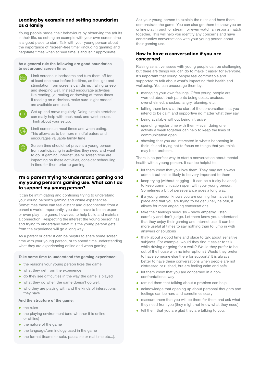# Leading by example and setting boundaries as a family

Young people model their behaviours by observing the adults in their life, so setting an example with your own screen time is a good place to start. Talk with your young person about the importance of "screen-free time" (including gaming) and negotiate times when screen time is and isn't appropriate.

#### As a general rule the following are good boundaries to set around screen time:



Limit screens in bedrooms and turn them off for at least one hour before bedtime, as the light and stimulation from screens can disrupt falling asleep and sleeping well. Instead encourage activities like reading, journaling or drawing at these times. If reading on e-devices make sure 'night modes' are available and used.

- Get up and move regularly. Doing simple stretches can really help with back neck and wrist issues. Think about your setup.
- Limit screens at meal times and when eating. This allows us to be more mindful eaters and encourages valuable family time
- Screen time should not prevent a young person from participating in activities they need and want to do. If gaming, internet use or screen time are impacting on these activities, consider scheduling in time for them prior to gaming.

# I'm a parent trying to understand gaming and my young person's gaming use. What can I do to support my young person?

It can be intimidating and confusing trying to understand your young person's gaming and online experiences. Sometimes these can feel distant and disconnected from a parent's world. Importantly, you don't have to be an expert or even play the game, however, to help build and maintain a connection. Respecting the interest the young person has, and trying to understand what it is the young person gets from the experience will go a long way.

As a parent or carer it can be helpful to share some screen time with your young person, or to spend time understanding what they are experiencing online and when gaming.

#### Take some time to understand the gaming experience:

- the reasons your young person likes the game
- what they get from the experience
- do they see difficulties in the way the game is played
- what they do when the game doesn't go well.
- who they are playing with and the kinds of interactions they have.

#### And the structure of the game:

- the rules
- the playing environment (and whether it is online or offline)
- the nature of the game
- the language/terminology used in the game
- the format (teams or solo, pausable or real time etc...).

Ask your young person to explain the rules and have them demonstrate the game. You can also get them to show you an online playthrough or stream, or even watch an esports match together. This will help you identify any concerns and have constructive conversations with your young person about their gaming use.

# How to have a conversation if you are concerned

Raising sensitive issues with young people can be challenging but there are things you can do to make it easier for everyone. It's important that young people feel comfortable and supported to talk about what's impacting their health and wellbeing. You can encourage them by:

- managing your own feelings. Often young people are worried about their parents being upset, anxious, overwhelmed, shocked, angry, blaming, etc.
- letting them know at the start of the conversation that you intend to be calm and supportive no matter what they say
- being available without being intrusive
- spending regular time with them even doing one activity a week together can help to keep the lines of communication open
- showing that you are interested in what's happening in their life and trying not to focus on things that you think may be a problem.

There is no perfect way to start a conversation about mental health with a young person. It can be helpful to:

- let them know that you love them. They may not always admit it but this is likely to be very important to them
- keep trying (without nagging it can be a tricky balance) to keep communication open with your young person. Sometimes a bit of perseverance goes a long way.
- if a young person knows you are coming from a caring place and that you are trying to be genuinely helpful, it allows for more engaging conversations
- take their feelings seriously show empathy, listen carefully and don't judge. Let them know you understand that they enjoy their gaming and internet use. It can be more useful at times to say nothing than to jump in with answers or solutions
- think about a good time and place to talk about sensitive subjects. For example, would they find it easier to talk while driving or going for a walk? Would they prefer to be out of the house with no interruptions? Would they prefer to have someone else there for support? It is always better to have these conversations when people are not distressed or rushed, but are feeling calm and safe
- let them know that you are concerned in a nonconfrontational way
- remind them that talking about a problem can help
- acknowledge that opening up about personal thoughts and feelings can be hard and sometimes scary
- reassure them that you will be there for them and ask what they need from you (they might not know what they need)
- tell them that you are glad they are talking to you.